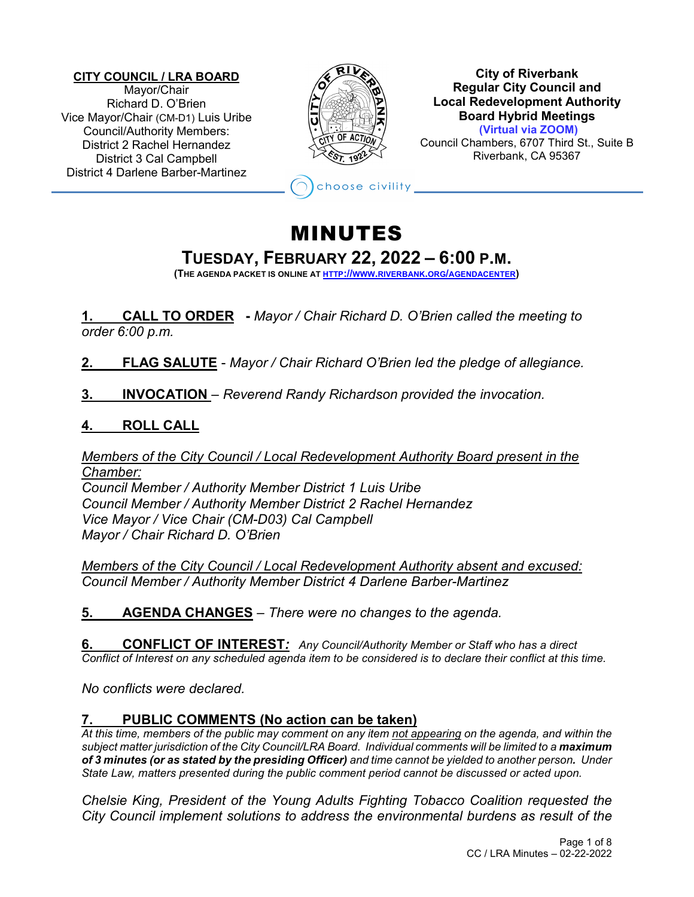#### **CITY COUNCIL / LRA BOARD** Mayor/Chair Richard D. O'Brien Vice Mayor/Chair (CM-D1) Luis Uribe Council/Authority Members: District 2 Rachel Hernandez District 3 Cal Campbell District 4 Darlene Barber-Martinez



**City of Riverbank Regular City Council and Local Redevelopment Authority Board Hybrid Meetings (Virtual via ZOOM)**

Council Chambers, 6707 Third St., Suite B Riverbank, CA 95367

hoose civility

# MINUTES

# **TUESDAY, FEBRUARY 22, <sup>2022</sup> – 6:00 P.M. (THE AGENDA PACKET IS ONLINE AT HTTP://WWW.RIVERBANK.ORG/AGENDACENTER)**

**1. CALL TO ORDER -** *Mayor / Chair Richard D. O'Brien called the meeting to order 6:00 p.m.*

**2. FLAG SALUTE** - *Mayor / Chair Richard O'Brien led the pledge of allegiance.*

**3. INVOCATION** – *Reverend Randy Richardson provided the invocation.*

# **4. ROLL CALL**

*Members of the City Council / Local Redevelopment Authority Board present in the Chamber:*

*Council Member / Authority Member District 1 Luis Uribe Council Member / Authority Member District 2 Rachel Hernandez Vice Mayor / Vice Chair (CM-D03) Cal Campbell Mayor / Chair Richard D. O'Brien*

*Members of the City Council / Local Redevelopment Authority absent and excused: Council Member / Authority Member District 4 Darlene Barber-Martinez*

**5. AGENDA CHANGES** *– There were no changes to the agenda.* 

**6. CONFLICT OF INTEREST***: Any Council/Authority Member or Staff who has a direct Conflict of Interest on any scheduled agenda item to be considered is to declare their conflict at this time.*

*No conflicts were declared.*

# **7. PUBLIC COMMENTS (No action can be taken)**

*At this time, members of the public may comment on any item not appearing on the agenda, and within the subject matter jurisdiction of the City Council/LRA Board. Individual comments will be limited to a maximum of 3 minutes (or as stated by the presiding Officer) and time cannot be yielded to another person. Under State Law, matters presented during the public comment period cannot be discussed or acted upon.* 

*Chelsie King, President of the Young Adults Fighting Tobacco Coalition requested the City Council implement solutions to address the environmental burdens as result of the*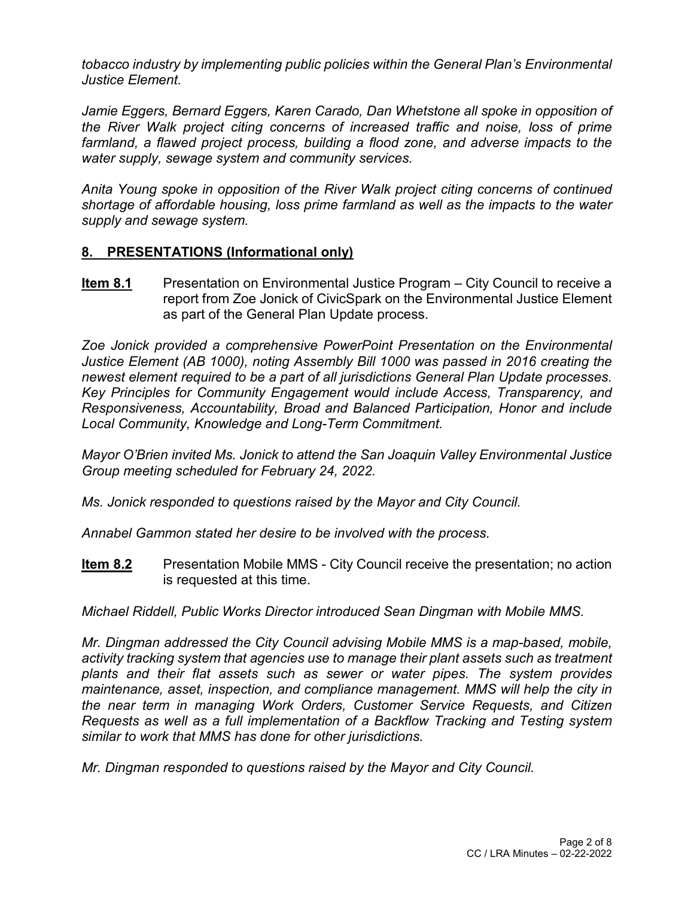*tobacco industry by implementing public policies within the General Plan's Environmental Justice Element.*

*Jamie Eggers, Bernard Eggers, Karen Carado, Dan Whetstone all spoke in opposition of the River Walk project citing concerns of increased traffic and noise, loss of prime farmland, a flawed project process, building a flood zone, and adverse impacts to the water supply, sewage system and community services.*

*Anita Young spoke in opposition of the River Walk project citing concerns of continued shortage of affordable housing, loss prime farmland as well as the impacts to the water supply and sewage system.*

#### **8. PRESENTATIONS (Informational only)**

**Item 8.1** Presentation on Environmental Justice Program – City Council to receive a report from Zoe Jonick of CivicSpark on the Environmental Justice Element as part of the General Plan Update process.

*Zoe Jonick provided a comprehensive PowerPoint Presentation on the Environmental Justice Element (AB 1000), noting Assembly Bill 1000 was passed in 2016 creating the newest element required to be a part of all jurisdictions General Plan Update processes. Key Principles for Community Engagement would include Access, Transparency, and Responsiveness, Accountability, Broad and Balanced Participation, Honor and include Local Community, Knowledge and Long-Term Commitment.*

*Mayor O'Brien invited Ms. Jonick to attend the San Joaquin Valley Environmental Justice Group meeting scheduled for February 24, 2022.*

*Ms. Jonick responded to questions raised by the Mayor and City Council.*

*Annabel Gammon stated her desire to be involved with the process.*

**Item 8.2** Presentation Mobile MMS - City Council receive the presentation; no action is requested at this time.

*Michael Riddell, Public Works Director introduced Sean Dingman with Mobile MMS.*

*Mr. Dingman addressed the City Council advising Mobile MMS is a map-based, mobile, activity tracking system that agencies use to manage their plant assets such as treatment plants and their flat assets such as sewer or water pipes. The system provides maintenance, asset, inspection, and compliance management. MMS will help the city in the near term in managing Work Orders, Customer Service Requests, and Citizen Requests as well as a full implementation of a Backflow Tracking and Testing system similar to work that MMS has done for other jurisdictions.*

*Mr. Dingman responded to questions raised by the Mayor and City Council.*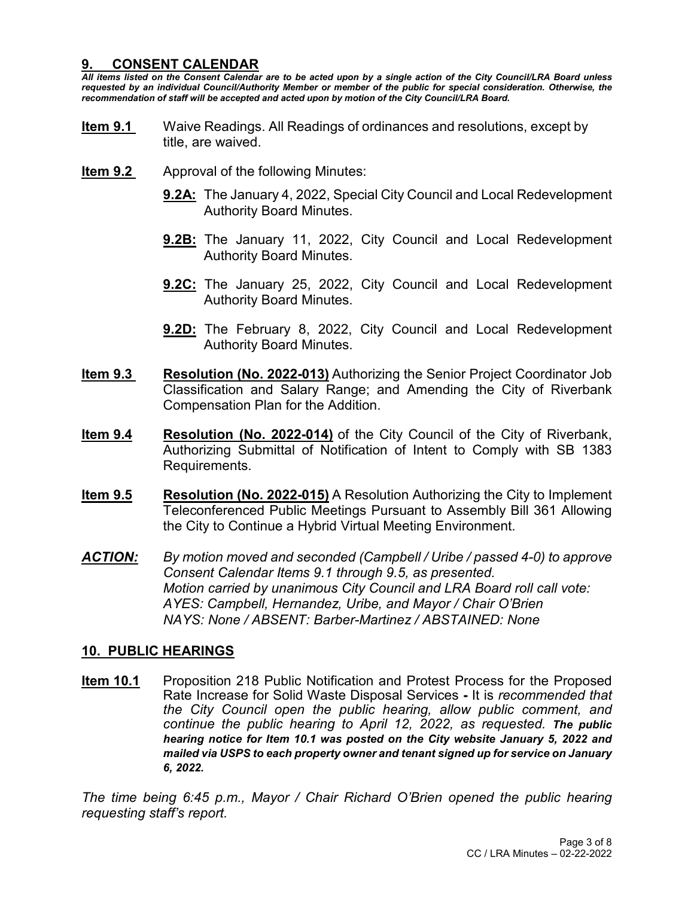#### **9. CONSENT CALENDAR**

*All items listed on the Consent Calendar are to be acted upon by a single action of the City Council/LRA Board unless requested by an individual Council/Authority Member or member of the public for special consideration. Otherwise, the recommendation of staff will be accepted and acted upon by motion of the City Council/LRA Board.*

- **Item 9.1** Waive Readings. All Readings of ordinances and resolutions, except by title, are waived.
- **Item 9.2** •• Approval of the following Minutes:
	- **9.2A:** The January 4, 2022, Special City Council and Local Redevelopment Authority Board Minutes.
	- **9.2B:** The January 11, 2022, City Council and Local Redevelopment Authority Board Minutes.
	- **9.2C:** The January 25, 2022, City Council and Local Redevelopment Authority Board Minutes.
	- **9.2D:** The February 8, 2022, City Council and Local Redevelopment Authority Board Minutes.
- **Item 9.3 Resolution (No. 2022-013)** Authorizing the Senior Project Coordinator Job Classification and Salary Range; and Amending the City of Riverbank Compensation Plan for the Addition.
- **Item 9.4 Resolution (No. 2022-014)** of the City Council of the City of Riverbank, Authorizing Submittal of Notification of Intent to Comply with SB 1383 Requirements.
- **Item 9.5 Resolution (No. 2022-015)** A Resolution Authorizing the City to Implement Teleconferenced Public Meetings Pursuant to Assembly Bill 361 Allowing the City to Continue a Hybrid Virtual Meeting Environment.
- *ACTION: By motion moved and seconded (Campbell / Uribe / passed 4-0) to approve Consent Calendar Items 9.1 through 9.5, as presented. Motion carried by unanimous City Council and LRA Board roll call vote: AYES: Campbell, Hernandez, Uribe, and Mayor / Chair O'Brien NAYS: None / ABSENT: Barber-Martinez / ABSTAINED: None*

#### **10. PUBLIC HEARINGS**

**Item 10.1** Proposition 218 Public Notification and Protest Process for the Proposed Rate Increase for Solid Waste Disposal Services **-** It is *recommended that the City Council open the public hearing, allow public comment, and continue the public hearing to April 12, 2022, as requested. The public hearing notice for Item 10.1 was posted on the City website January 5, 2022 and mailed via USPS to each property owner and tenant signed up for service on January 6, 2022.*

*The time being 6:45 p.m., Mayor / Chair Richard O'Brien opened the public hearing requesting staff's report.*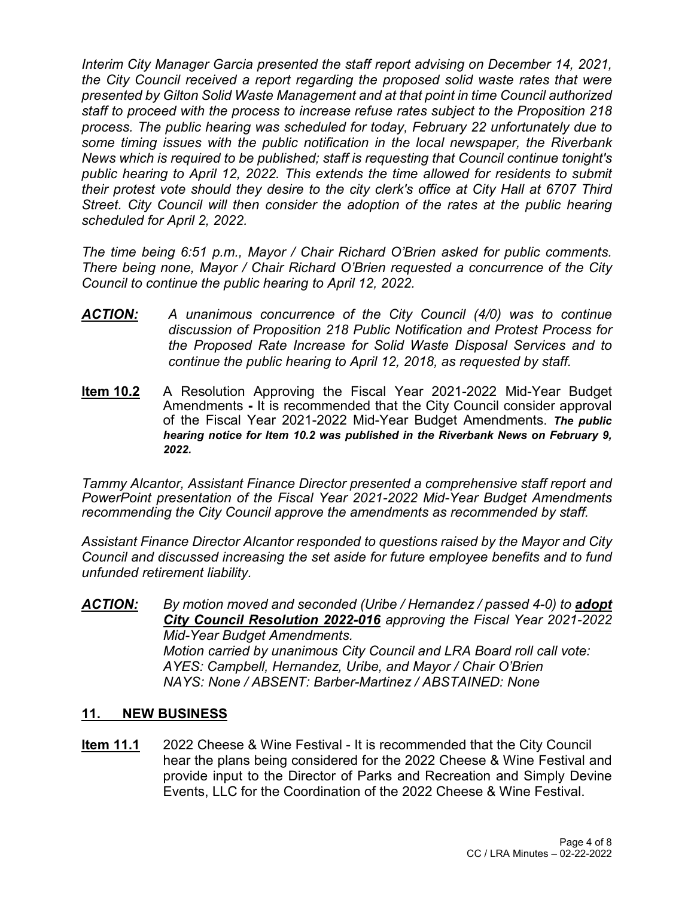*Interim City Manager Garcia presented the staff report advising on December 14, 2021, the City Council received a report regarding the proposed solid waste rates that were presented by Gilton Solid Waste Management and at that point in time Council authorized staff to proceed with the process to increase refuse rates subject to the Proposition 218 process. The public hearing was scheduled for today, February 22 unfortunately due to some timing issues with the public notification in the local newspaper, the Riverbank News which is required to be published; staff is requesting that Council continue tonight's public hearing to April 12, 2022. This extends the time allowed for residents to submit their protest vote should they desire to the city clerk's office at City Hall at 6707 Third Street. City Council will then consider the adoption of the rates at the public hearing scheduled for April 2, 2022.*

*The time being 6:51 p.m., Mayor / Chair Richard O'Brien asked for public comments. There being none, Mayor / Chair Richard O'Brien requested a concurrence of the City Council to continue the public hearing to April 12, 2022.*

- *ACTION: A unanimous concurrence of the City Council (4/0) was to continue discussion of Proposition 218 Public Notification and Protest Process for the Proposed Rate Increase for Solid Waste Disposal Services and to continue the public hearing to April 12, 2018, as requested by staff.*
- **Item 10.2** A Resolution Approving the Fiscal Year 2021-2022 Mid-Year Budget Amendments **-** It is recommended that the City Council consider approval of the Fiscal Year 2021-2022 Mid-Year Budget Amendments. *The public hearing notice for Item 10.2 was published in the Riverbank News on February 9, 2022.*

*Tammy Alcantor, Assistant Finance Director presented a comprehensive staff report and PowerPoint presentation of the Fiscal Year 2021-2022 Mid-Year Budget Amendments recommending the City Council approve the amendments as recommended by staff.*

*Assistant Finance Director Alcantor responded to questions raised by the Mayor and City Council and discussed increasing the set aside for future employee benefits and to fund unfunded retirement liability.*

*ACTION: By motion moved and seconded (Uribe / Hernandez / passed 4-0) to adopt City Council Resolution 2022-016 approving the Fiscal Year 2021-2022 Mid-Year Budget Amendments. Motion carried by unanimous City Council and LRA Board roll call vote: AYES: Campbell, Hernandez, Uribe, and Mayor / Chair O'Brien NAYS: None / ABSENT: Barber-Martinez / ABSTAINED: None*

#### **11. NEW BUSINESS**

**Item 11.1** 2022 Cheese & Wine Festival - It is recommended that the City Council hear the plans being considered for the 2022 Cheese & Wine Festival and provide input to the Director of Parks and Recreation and Simply Devine Events, LLC for the Coordination of the 2022 Cheese & Wine Festival.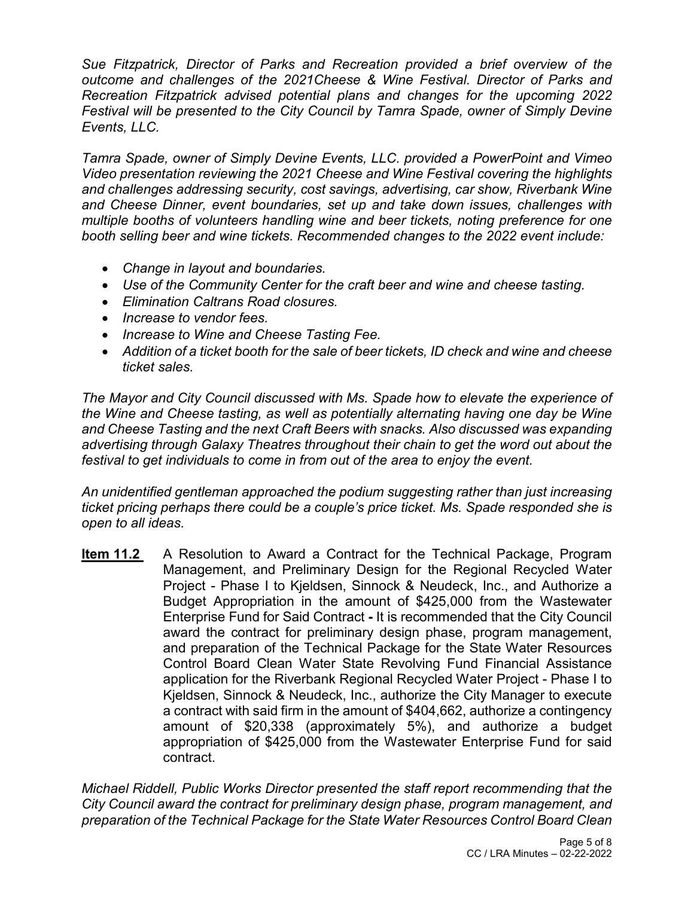*Sue Fitzpatrick, Director of Parks and Recreation provided a brief overview of the outcome and challenges of the 2021Cheese & Wine Festival. Director of Parks and Recreation Fitzpatrick advised potential plans and changes for the upcoming 2022 Festival will be presented to the City Council by Tamra Spade, owner of Simply Devine Events, LLC.*

*Tamra Spade, owner of Simply Devine Events, LLC. provided a PowerPoint and Vimeo Video presentation reviewing the 2021 Cheese and Wine Festival covering the highlights and challenges addressing security, cost savings, advertising, car show, Riverbank Wine and Cheese Dinner, event boundaries, set up and take down issues, challenges with multiple booths of volunteers handling wine and beer tickets, noting preference for one booth selling beer and wine tickets. Recommended changes to the 2022 event include:*

- *Change in layout and boundaries.*
- *Use of the Community Center for the craft beer and wine and cheese tasting.*
- *Elimination Caltrans Road closures.*
- *Increase to vendor fees.*
- *Increase to Wine and Cheese Tasting Fee.*
- *Addition of a ticket booth for the sale of beer tickets, ID check and wine and cheese ticket sales.*

*The Mayor and City Council discussed with Ms. Spade how to elevate the experience of the Wine and Cheese tasting, as well as potentially alternating having one day be Wine and Cheese Tasting and the next Craft Beers with snacks. Also discussed was expanding advertising through Galaxy Theatres throughout their chain to get the word out about the festival to get individuals to come in from out of the area to enjoy the event.*

*An unidentified gentleman approached the podium suggesting rather than just increasing ticket pricing perhaps there could be a couple's price ticket. Ms. Spade responded she is open to all ideas.*

**Item 11.2** A Resolution to Award a Contract for the Technical Package, Program Management, and Preliminary Design for the Regional Recycled Water Project - Phase I to Kjeldsen, Sinnock & Neudeck, Inc., and Authorize a Budget Appropriation in the amount of \$425,000 from the Wastewater Enterprise Fund for Said Contract **-** It is recommended that the City Council award the contract for preliminary design phase, program management, and preparation of the Technical Package for the State Water Resources Control Board Clean Water State Revolving Fund Financial Assistance application for the Riverbank Regional Recycled Water Project - Phase I to Kjeldsen, Sinnock & Neudeck, Inc., authorize the City Manager to execute a contract with said firm in the amount of \$404,662, authorize a contingency amount of \$20,338 (approximately 5%), and authorize a budget appropriation of \$425,000 from the Wastewater Enterprise Fund for said contract.

*Michael Riddell, Public Works Director presented the staff report recommending that the City Council award the contract for preliminary design phase, program management, and preparation of the Technical Package for the State Water Resources Control Board Clean*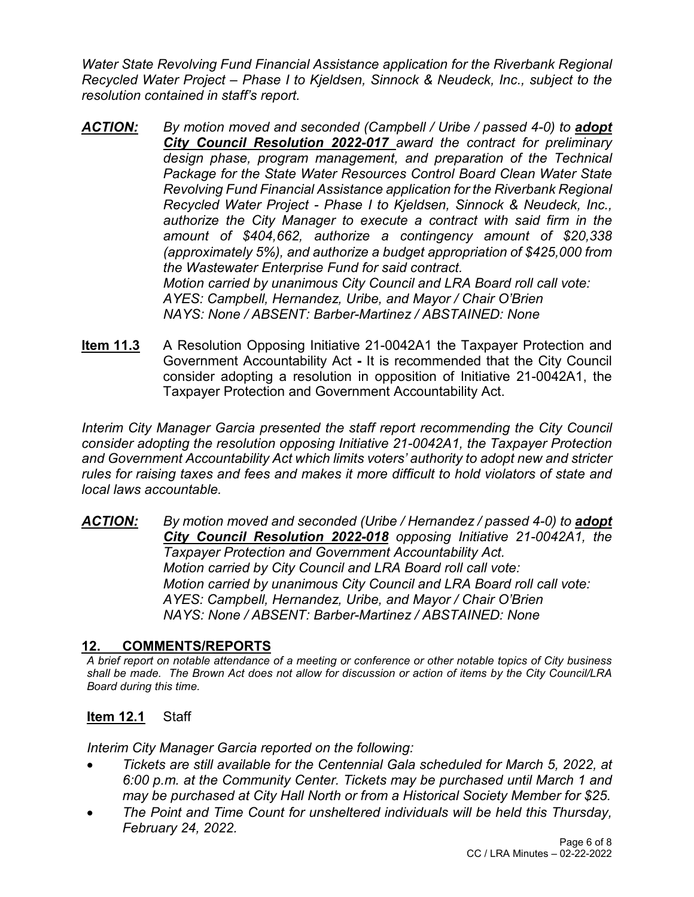*Water State Revolving Fund Financial Assistance application for the Riverbank Regional Recycled Water Project – Phase I to Kjeldsen, Sinnock & Neudeck, Inc., subject to the resolution contained in staff's report.*

- *ACTION: By motion moved and seconded (Campbell / Uribe / passed 4-0) to adopt City Council Resolution 2022-017 award the contract for preliminary design phase, program management, and preparation of the Technical Package for the State Water Resources Control Board Clean Water State Revolving Fund Financial Assistance application for the Riverbank Regional Recycled Water Project - Phase I to Kjeldsen, Sinnock & Neudeck, Inc., authorize the City Manager to execute a contract with said firm in the amount of \$404,662, authorize a contingency amount of \$20,338 (approximately 5%), and authorize a budget appropriation of \$425,000 from the Wastewater Enterprise Fund for said contract. Motion carried by unanimous City Council and LRA Board roll call vote: AYES: Campbell, Hernandez, Uribe, and Mayor / Chair O'Brien NAYS: None / ABSENT: Barber-Martinez / ABSTAINED: None*
- **Item 11.3** A Resolution Opposing Initiative 21-0042A1 the Taxpayer Protection and Government Accountability Act **-** It is recommended that the City Council consider adopting a resolution in opposition of Initiative 21-0042A1, the Taxpayer Protection and Government Accountability Act.

*Interim City Manager Garcia presented the staff report recommending the City Council consider adopting the resolution opposing Initiative 21-0042A1, the Taxpayer Protection and Government Accountability Act which limits voters' authority to adopt new and stricter rules for raising taxes and fees and makes it more difficult to hold violators of state and local laws accountable.*

*ACTION: By motion moved and seconded (Uribe / Hernandez / passed 4-0) to adopt City Council Resolution 2022-018 opposing Initiative 21-0042A1, the Taxpayer Protection and Government Accountability Act. Motion carried by City Council and LRA Board roll call vote: Motion carried by unanimous City Council and LRA Board roll call vote: AYES: Campbell, Hernandez, Uribe, and Mayor / Chair O'Brien NAYS: None / ABSENT: Barber-Martinez / ABSTAINED: None*

# **12. COMMENTS/REPORTS**

*A brief report on notable attendance of a meeting or conference or other notable topics of City business shall be made. The Brown Act does not allow for discussion or action of items by the City Council/LRA Board during this time.* 

# **Item 12.1** Staff

*Interim City Manager Garcia reported on the following:*

- *Tickets are still available for the Centennial Gala scheduled for March 5, 2022, at 6:00 p.m. at the Community Center. Tickets may be purchased until March 1 and may be purchased at City Hall North or from a Historical Society Member for \$25.*
- *The Point and Time Count for unsheltered individuals will be held this Thursday, February 24, 2022.*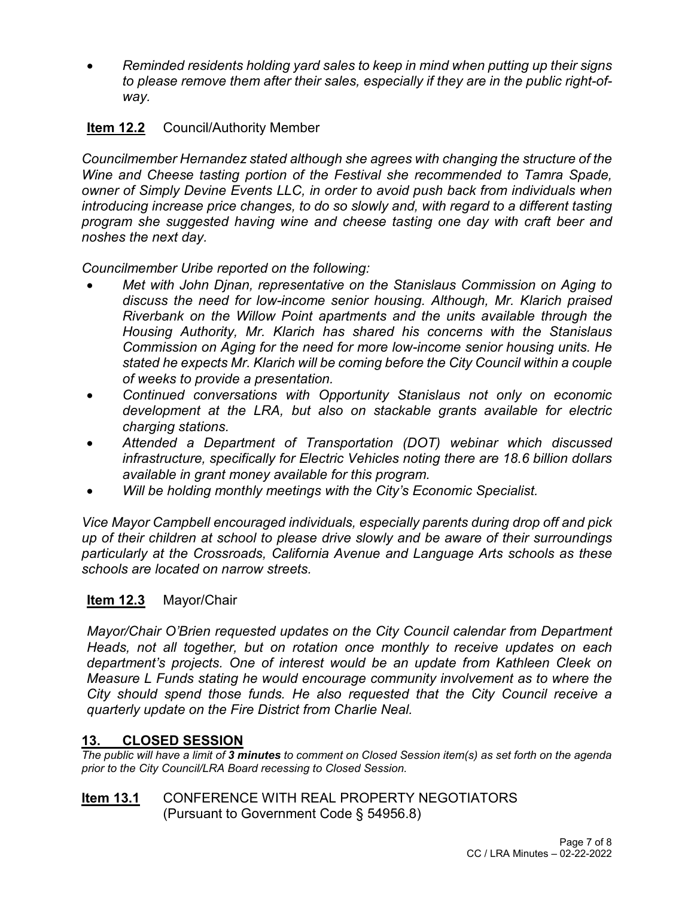• *Reminded residents holding yard sales to keep in mind when putting up their signs to please remove them after their sales, especially if they are in the public right-ofway.*

# **Item 12.2** Council/Authority Member

*Councilmember Hernandez stated although she agrees with changing the structure of the Wine and Cheese tasting portion of the Festival she recommended to Tamra Spade, owner of Simply Devine Events LLC, in order to avoid push back from individuals when introducing increase price changes, to do so slowly and, with regard to a different tasting program she suggested having wine and cheese tasting one day with craft beer and noshes the next day.*

*Councilmember Uribe reported on the following:*

- *Met with John Djnan, representative on the Stanislaus Commission on Aging to discuss the need for low-income senior housing. Although, Mr. Klarich praised Riverbank on the Willow Point apartments and the units available through the Housing Authority, Mr. Klarich has shared his concerns with the Stanislaus Commission on Aging for the need for more low-income senior housing units. He stated he expects Mr. Klarich will be coming before the City Council within a couple of weeks to provide a presentation.*
- *Continued conversations with Opportunity Stanislaus not only on economic development at the LRA, but also on stackable grants available for electric charging stations.*
- *Attended a Department of Transportation (DOT) webinar which discussed infrastructure, specifically for Electric Vehicles noting there are 18.6 billion dollars available in grant money available for this program.*
- *Will be holding monthly meetings with the City's Economic Specialist.*

*Vice Mayor Campbell encouraged individuals, especially parents during drop off and pick up of their children at school to please drive slowly and be aware of their surroundings particularly at the Crossroads, California Avenue and Language Arts schools as these schools are located on narrow streets.*

# **Item 12.3** Mayor/Chair

*Mayor/Chair O'Brien requested updates on the City Council calendar from Department Heads, not all together, but on rotation once monthly to receive updates on each department's projects. One of interest would be an update from Kathleen Cleek on Measure L Funds stating he would encourage community involvement as to where the City should spend those funds. He also requested that the City Council receive a quarterly update on the Fire District from Charlie Neal.*

#### **13. CLOSED SESSION**

*The public will have a limit of 3 minutes to comment on Closed Session item(s) as set forth on the agenda prior to the City Council/LRA Board recessing to Closed Session.* 

#### **Item 13.1** CONFERENCE WITH REAL PROPERTY NEGOTIATORS (Pursuant to Government Code § 54956.8)